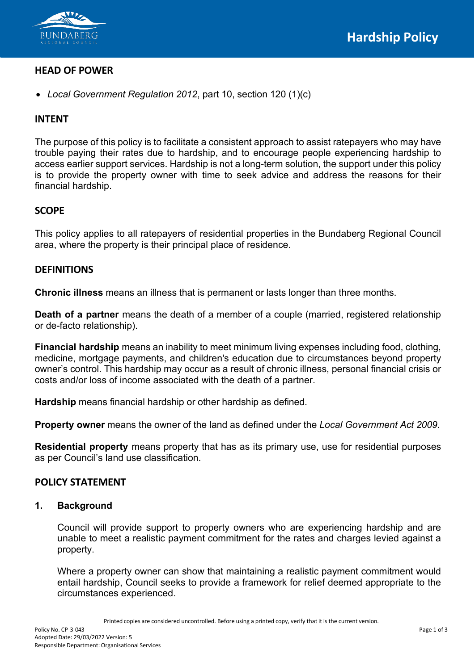

# **HEAD OF POWER**

• *Local Government Regulation 2012*, part 10, section 120 (1)(c)

# **INTENT**

The purpose of this policy is to facilitate a consistent approach to assist ratepayers who may have trouble paying their rates due to hardship, and to encourage people experiencing hardship to access earlier support services. Hardship is not a long-term solution, the support under this policy is to provide the property owner with time to seek advice and address the reasons for their financial hardship.

# **SCOPE**

This policy applies to all ratepayers of residential properties in the Bundaberg Regional Council area, where the property is their principal place of residence.

#### **DEFINITIONS**

**Chronic illness** means an illness that is permanent or lasts longer than three months.

**Death of a partner** means the death of a member of a couple (married, registered relationship or de-facto relationship).

**Financial hardship** means an inability to meet minimum living expenses including food, clothing, medicine, mortgage payments, and children's education due to circumstances beyond property owner's control. This hardship may occur as a result of chronic illness, personal financial crisis or costs and/or loss of income associated with the death of a partner.

**Hardship** means financial hardship or other hardship as defined.

**Property owner** means the owner of the land as defined under the *Local Government Act 2009*.

**Residential property** means property that has as its primary use, use for residential purposes as per Council's land use classification.

# **POLICY STATEMENT**

#### **1. Background**

Council will provide support to property owners who are experiencing hardship and are unable to meet a realistic payment commitment for the rates and charges levied against a property.

Where a property owner can show that maintaining a realistic payment commitment would entail hardship, Council seeks to provide a framework for relief deemed appropriate to the circumstances experienced.

Printed copies are considered uncontrolled. Before using a printed copy, verify that it is the current version.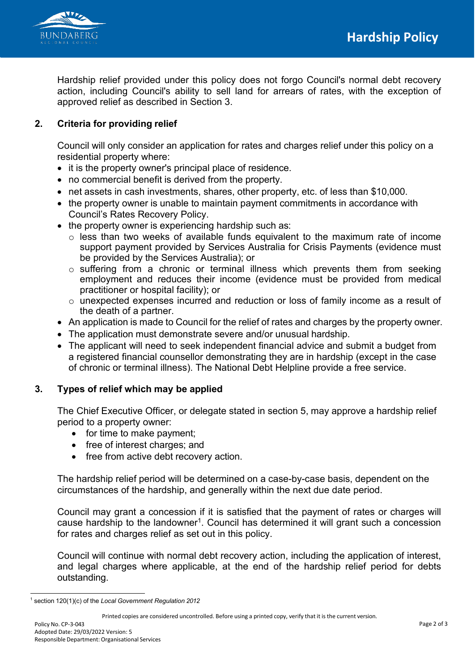



Hardship relief provided under this policy does not forgo Council's normal debt recovery action, including Council's ability to sell land for arrears of rates, with the exception of approved relief as described in Section 3.

# **2. Criteria for providing relief**

Council will only consider an application for rates and charges relief under this policy on a residential property where:

- it is the property owner's principal place of residence.
- no commercial benefit is derived from the property.
- net assets in cash investments, shares, other property, etc. of less than \$10,000.
- the property owner is unable to maintain payment commitments in accordance with Council's Rates Recovery Policy.
- the property owner is experiencing hardship such as:
	- $\circ$  less than two weeks of available funds equivalent to the maximum rate of income support payment provided by Services Australia for Crisis Payments (evidence must be provided by the Services Australia); or
	- o suffering from a chronic or terminal illness which prevents them from seeking employment and reduces their income (evidence must be provided from medical practitioner or hospital facility); or
	- o unexpected expenses incurred and reduction or loss of family income as a result of the death of a partner.
- An application is made to Council for the relief of rates and charges by the property owner.
- The application must demonstrate severe and/or unusual hardship.
- The applicant will need to seek independent financial advice and submit a budget from a registered financial counsellor demonstrating they are in hardship (except in the case of chronic or terminal illness). The National Debt Helpline provide a free service.

# **3. Types of relief which may be applied**

The Chief Executive Officer, or delegate stated in section 5, may approve a hardship relief period to a property owner:

- for time to make payment;
- free of interest charges; and
- free from active debt recovery action.

The hardship relief period will be determined on a case-by-case basis, dependent on the circumstances of the hardship, and generally within the next due date period.

Council may grant a concession if it is satisfied that the payment of rates or charges will cause hardship to the landowner<sup>1</sup>. Council has determined it will grant such a concession for rates and charges relief as set out in this policy.

Council will continue with normal debt recovery action, including the application of interest, and legal charges where applicable, at the end of the hardship relief period for debts outstanding.

Printed copies are considered uncontrolled. Before using a printed copy, verify that it is the current version.

<span id="page-1-0"></span><sup>1</sup> section 120(1)(c) of the *Local Government Regulation 2012*